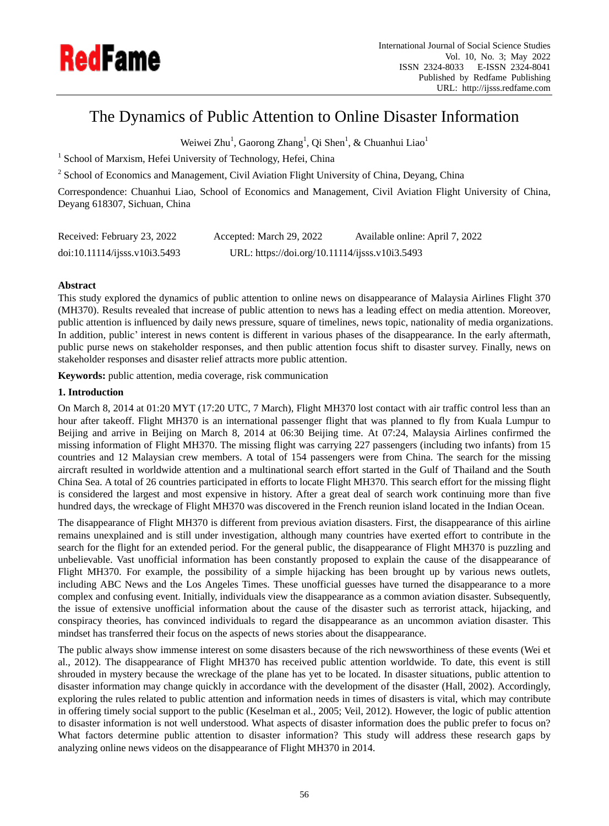

# The Dynamics of Public Attention to Online Disaster Information

Weiwei Zhu<sup>1</sup>, Gaorong Zhang<sup>1</sup>, Qi Shen<sup>1</sup>, & Chuanhui Liao<sup>1</sup>

<sup>1</sup> School of Marxism, Hefei University of Technology, Hefei, China

<sup>2</sup> School of Economics and Management, Civil Aviation Flight University of China, Deyang, China

Correspondence: Chuanhui Liao, School of Economics and Management, Civil Aviation Flight University of China, Deyang 618307, Sichuan, China

| Received: February 23, 2022   | Accepted: March 29, 2022                       | Available online: April 7, 2022 |
|-------------------------------|------------------------------------------------|---------------------------------|
| doi:10.11114/j;ss. v10i3.5493 | URL: https://doi.org/10.11114/ijsss.v10i3.5493 |                                 |

# **Abstract**

This study explored the dynamics of public attention to online news on disappearance of Malaysia Airlines Flight 370 (MH370). Results revealed that increase of public attention to news has a leading effect on media attention. Moreover, public attention is influenced by daily news pressure, square of timelines, news topic, nationality of media organizations. In addition, public' interest in news content is different in various phases of the disappearance. In the early aftermath, public purse news on stakeholder responses, and then public attention focus shift to disaster survey. Finally, news on stakeholder responses and disaster relief attracts more public attention.

**Keywords:** public attention, media coverage, risk communication

# **1. Introduction**

On March 8, 2014 at 01:20 MYT (17:20 UTC, 7 March), Flight MH370 lost contact with air traffic control less than an hour after takeoff. Flight MH370 is an international passenger flight that was planned to fly from Kuala Lumpur to Beijing and arrive in Beijing on March 8, 2014 at 06:30 Beijing time. At 07:24, Malaysia Airlines confirmed the missing information of Flight MH370. The missing flight was carrying 227 passengers (including two infants) from 15 countries and 12 Malaysian crew members. A total of 154 passengers were from China. The search for the missing aircraft resulted in worldwide attention and a multinational search effort started in the Gulf of Thailand and the South China Sea. A total of 26 countries participated in efforts to locate Flight MH370. This search effort for the missing flight is considered the largest and most expensive in history. After a great deal of search work continuing more than five hundred days, the wreckage of Flight MH370 was discovered in the French reunion island located in the Indian Ocean.

The disappearance of Flight MH370 is different from previous aviation disasters. First, the disappearance of this airline remains unexplained and is still under investigation, although many countries have exerted effort to contribute in the search for the flight for an extended period. For the general public, the disappearance of Flight MH370 is puzzling and unbelievable. Vast unofficial information has been constantly proposed to explain the cause of the disappearance of Flight MH370. For example, the possibility of a simple hijacking has been brought up by various news outlets, including ABC News and the Los Angeles Times. These unofficial guesses have turned the disappearance to a more complex and confusing event. Initially, individuals view the disappearance as a common aviation disaster. Subsequently, the issue of extensive unofficial information about the cause of the disaster such as terrorist attack, hijacking, and conspiracy theories, has convinced individuals to regard the disappearance as an uncommon aviation disaster. This mindset has transferred their focus on the aspects of news stories about the disappearance.

The public always show immense interest on some disasters because of the rich newsworthiness of these events (Wei et al., 2012). The disappearance of Flight MH370 has received public attention worldwide. To date, this event is still shrouded in mystery because the wreckage of the plane has yet to be located. In disaster situations, public attention to disaster information may change quickly in accordance with the development of the disaster (Hall, 2002). Accordingly, exploring the rules related to public attention and information needs in times of disasters is vital, which may contribute in offering timely social support to the public (Keselman et al., 2005; Veil, 2012). However, the logic of public attention to disaster information is not well understood. What aspects of disaster information does the public prefer to focus on? What factors determine public attention to disaster information? This study will address these research gaps by analyzing online news videos on the disappearance of Flight MH370 in 2014.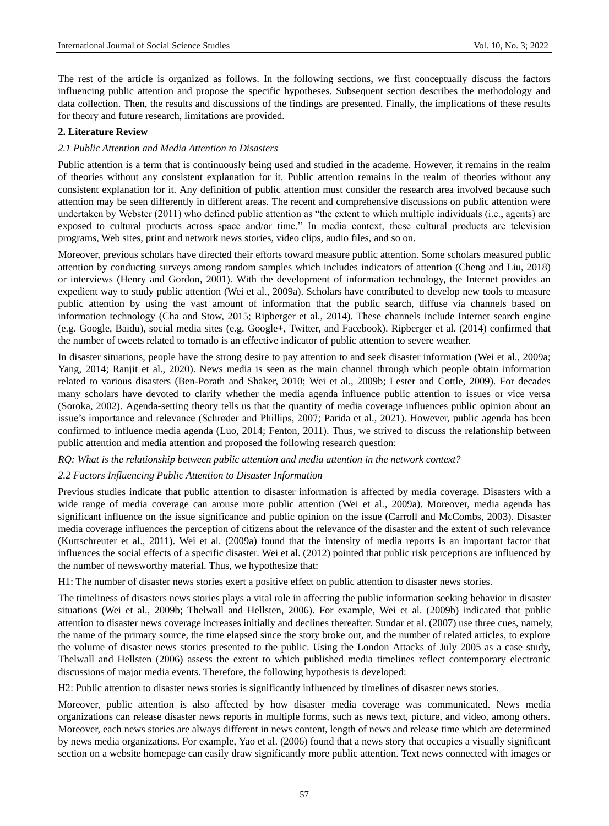The rest of the article is organized as follows. In the following sections, we first conceptually discuss the factors influencing public attention and propose the specific hypotheses. Subsequent section describes the methodology and data collection. Then, the results and discussions of the findings are presented. Finally, the implications of these results for theory and future research, limitations are provided.

## **2. Literature Review**

### *2.1 Public Attention and Media Attention to Disasters*

Public attention is a term that is continuously being used and studied in the academe. However, it remains in the realm of theories without any consistent explanation for it. Public attention remains in the realm of theories without any consistent explanation for it. Any definition of public attention must consider the research area involved because such attention may be seen differently in different areas. The recent and comprehensive discussions on public attention were undertaken by Webster (2011) who defined public attention as "the extent to which multiple individuals (i.e., agents) are exposed to cultural products across space and/or time." In media context, these cultural products are television programs, Web sites, print and network news stories, video clips, audio files, and so on.

Moreover, previous scholars have directed their efforts toward measure public attention. Some scholars measured public attention by conducting surveys among random samples which includes indicators of attention (Cheng and Liu, 2018) or interviews (Henry and Gordon, 2001). With the development of information technology, the Internet provides an expedient way to study public attention (Wei et al., 2009a). Scholars have contributed to develop new tools to measure public attention by using the vast amount of information that the public search, diffuse via channels based on information technology (Cha and Stow, 2015; Ripberger et al., 2014). These channels include Internet search engine (e.g. Google, Baidu), social media sites (e.g. Google+, Twitter, and Facebook). Ripberger et al. (2014) confirmed that the number of tweets related to tornado is an effective indicator of public attention to severe weather.

In disaster situations, people have the strong desire to pay attention to and seek disaster information (Wei et al., 2009a; Yang, 2014; Ranjit et al., 2020). News media is seen as the main channel through which people obtain information related to various disasters (Ben-Porath and Shaker, 2010; Wei et al., 2009b; Lester and Cottle, 2009). For decades many scholars have devoted to clarify whether the media agenda influence public attention to issues or vice versa (Soroka, 2002). Agenda-setting theory tells us that the quantity of media coverage influences public opinion about an issue's importance and relevance (Schrøder and Phillips, 2007; Parida et al., 2021). However, public agenda has been confirmed to influence media agenda (Luo, 2014; Fenton, 2011). Thus, we strived to discuss the relationship between public attention and media attention and proposed the following research question:

#### *RQ: What is the relationship between public attention and media attention in the network context?*

#### *2.2 Factors Influencing Public Attention to Disaster Information*

Previous studies indicate that public attention to disaster information is affected by media coverage. Disasters with a wide range of media coverage can arouse more public attention (Wei et al., 2009a). Moreover, media agenda has significant influence on the issue significance and public opinion on the issue (Carroll and McCombs, 2003). Disaster media coverage influences the perception of citizens about the relevance of the disaster and the extent of such relevance (Kuttschreuter et al., 2011). Wei et al. (2009a) found that the intensity of media reports is an important factor that influences the social effects of a specific disaster. Wei et al. (2012) pointed that public risk perceptions are influenced by the number of newsworthy material. Thus, we hypothesize that:

H1: The number of disaster news stories exert a positive effect on public attention to disaster news stories.

The timeliness of disasters news stories plays a vital role in affecting the public information seeking behavior in disaster situations (Wei et al., 2009b; Thelwall and Hellsten, 2006). For example, Wei et al. (2009b) indicated that public attention to disaster news coverage increases initially and declines thereafter. Sundar et al. (2007) use three cues, namely, the name of the primary source, the time elapsed since the story broke out, and the number of related articles, to explore the volume of disaster news stories presented to the public. Using the London Attacks of July 2005 as a case study, Thelwall and Hellsten (2006) assess the extent to which published media timelines reflect contemporary electronic discussions of major media events. Therefore, the following hypothesis is developed:

H2: Public attention to disaster news stories is significantly influenced by timelines of disaster news stories.

Moreover, public attention is also affected by how disaster media coverage was communicated. News media organizations can release disaster news reports in multiple forms, such as news text, picture, and video, among others. Moreover, each news stories are always different in news content, length of news and release time which are determined by news media organizations. For example, Yao et al. (2006) found that a news story that occupies a visually significant section on a website homepage can easily draw significantly more public attention. Text news connected with images or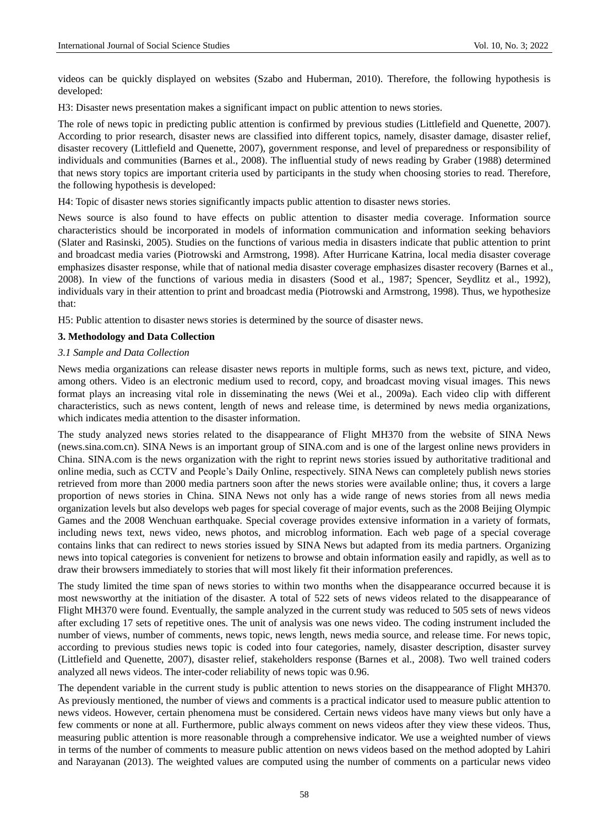videos can be quickly displayed on websites (Szabo and Huberman, 2010). Therefore, the following hypothesis is developed:

H3: Disaster news presentation makes a significant impact on public attention to news stories.

The role of news topic in predicting public attention is confirmed by previous studies (Littlefield and Quenette, 2007). According to prior research, disaster news are classified into different topics, namely, disaster damage, disaster relief, disaster recovery (Littlefield and Quenette, 2007), government response, and level of preparedness or responsibility of individuals and communities (Barnes et al., 2008). The influential study of news reading by Graber (1988) determined that news story topics are important criteria used by participants in the study when choosing stories to read. Therefore, the following hypothesis is developed:

H4: Topic of disaster news stories significantly impacts public attention to disaster news stories.

News source is also found to have effects on public attention to disaster media coverage. Information source characteristics should be incorporated in models of information communication and information seeking behaviors (Slater and Rasinski, 2005). Studies on the functions of various media in disasters indicate that public attention to print and broadcast media varies (Piotrowski and Armstrong, 1998). After Hurricane Katrina, local media disaster coverage emphasizes disaster response, while that of national media disaster coverage emphasizes disaster recovery (Barnes et al., 2008). In view of the functions of various media in disasters (Sood et al., 1987; Spencer, Seydlitz et al., 1992), individuals vary in their attention to print and broadcast media (Piotrowski and Armstrong, 1998). Thus, we hypothesize that:

H5: Public attention to disaster news stories is determined by the source of disaster news.

#### **3. Methodology and Data Collection**

#### *3.1 Sample and Data Collection*

News media organizations can release disaster news reports in multiple forms, such as news text, picture, and video, among others. Video is an electronic medium used to record, copy, and broadcast moving visual images. This news format plays an increasing vital role in disseminating the news (Wei et al., 2009a). Each video clip with different characteristics, such as news content, length of news and release time, is determined by news media organizations, which indicates media attention to the disaster information.

The study analyzed news stories related to the disappearance of Flight MH370 from the website of SINA News (news.sina.com.cn). SINA News is an important group of SINA.com and is one of the largest online news providers in China. SINA.com is the news organization with the right to reprint news stories issued by authoritative traditional and online media, such as CCTV and People's Daily Online, respectively. SINA News can completely publish news stories retrieved from more than 2000 media partners soon after the news stories were available online; thus, it covers a large proportion of news stories in China. SINA News not only has a wide range of news stories from all news media organization levels but also develops web pages for special coverage of major events, such as the 2008 Beijing Olympic Games and the 2008 Wenchuan earthquake. Special coverage provides extensive information in a variety of formats, including news text, news video, news photos, and microblog information. Each web page of a special coverage contains links that can redirect to news stories issued by SINA News but adapted from its media partners. Organizing news into topical categories is convenient for netizens to browse and obtain information easily and rapidly, as well as to draw their browsers immediately to stories that will most likely fit their information preferences.

The study limited the time span of news stories to within two months when the disappearance occurred because it is most newsworthy at the initiation of the disaster. A total of 522 sets of news videos related to the disappearance of Flight MH370 were found. Eventually, the sample analyzed in the current study was reduced to 505 sets of news videos after excluding 17 sets of repetitive ones. The unit of analysis was one news video. The coding instrument included the number of views, number of comments, news topic, news length, news media source, and release time. For news topic, according to previous studies news topic is coded into four categories, namely, disaster description, disaster survey (Littlefield and Quenette, 2007), disaster relief, stakeholders response (Barnes et al., 2008). Two well trained coders analyzed all news videos. The inter-coder reliability of news topic was 0.96.

The dependent variable in the current study is public attention to news stories on the disappearance of Flight MH370. As previously mentioned, the number of views and comments is a practical indicator used to measure public attention to news videos. However, certain phenomena must be considered. Certain news videos have many views but only have a few comments or none at all. Furthermore, public always comment on news videos after they view these videos. Thus, measuring public attention is more reasonable through a comprehensive indicator. We use a weighted number of views in terms of the number of comments to measure public attention on news videos based on the method adopted by Lahiri and Narayanan (2013). The weighted values are computed using the number of comments on a particular news video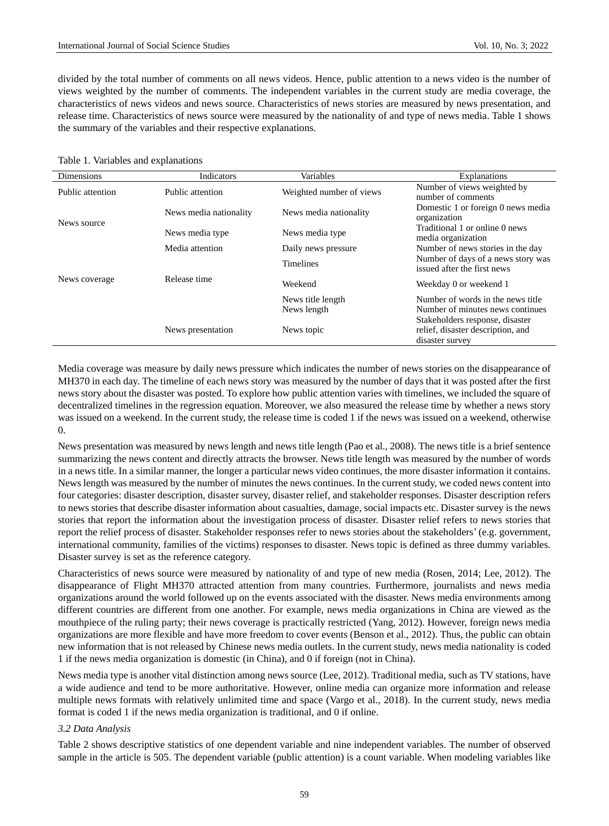divided by the total number of comments on all news videos. Hence, public attention to a news video is the number of views weighted by the number of comments. The independent variables in the current study are media coverage, the characteristics of news videos and news source. Characteristics of news stories are measured by news presentation, and release time. Characteristics of news source were measured by the nationality of and type of news media. Table 1 shows the summary of the variables and their respective explanations.

#### Table 1. Variables and explanations

| <b>Dimensions</b> | Indicators             | Variables                        | <b>Explanations</b>                                                                                      |
|-------------------|------------------------|----------------------------------|----------------------------------------------------------------------------------------------------------|
| Public attention  | Public attention       | Weighted number of views         | Number of views weighted by<br>number of comments                                                        |
| News source       | News media nationality | News media nationality           | Domestic 1 or foreign 0 news media<br>organization                                                       |
|                   | News media type        | News media type                  | Traditional 1 or online 0 news<br>media organization                                                     |
|                   | Media attention        | Daily news pressure              | Number of news stories in the day                                                                        |
|                   |                        | <b>Timelines</b>                 | Number of days of a news story was<br>issued after the first news                                        |
| News coverage     | Release time           | Weekend                          | Weekday 0 or weekend 1                                                                                   |
|                   |                        | News title length<br>News length | Number of words in the news title<br>Number of minutes news continues<br>Stakeholders response, disaster |
|                   | News presentation      | News topic                       | relief, disaster description, and<br>disaster survey                                                     |

Media coverage was measure by daily news pressure which indicates the number of news stories on the disappearance of MH370 in each day. The timeline of each news story was measured by the number of days that it was posted after the first news story about the disaster was posted. To explore how public attention varies with timelines, we included the square of decentralized timelines in the regression equation. Moreover, we also measured the release time by whether a news story was issued on a weekend. In the current study, the release time is coded 1 if the news was issued on a weekend, otherwise 0.

News presentation was measured by news length and news title length (Pao et al., 2008). The news title is a brief sentence summarizing the news content and directly attracts the browser. News title length was measured by the number of words in a news title. In a similar manner, the longer a particular news video continues, the more disaster information it contains. News length was measured by the number of minutes the news continues. In the current study, we coded news content into four categories: disaster description, disaster survey, disaster relief, and stakeholder responses. Disaster description refers to news stories that describe disaster information about casualties, damage, social impacts etc. Disaster survey is the news stories that report the information about the investigation process of disaster. Disaster relief refers to news stories that report the relief process of disaster. Stakeholder responses refer to news stories about the stakeholders' (e.g. government, international community, families of the victims) responses to disaster. News topic is defined as three dummy variables. Disaster survey is set as the reference category.

Characteristics of news source were measured by nationality of and type of new media (Rosen, 2014; Lee, 2012). The disappearance of Flight MH370 attracted attention from many countries. Furthermore, journalists and news media organizations around the world followed up on the events associated with the disaster. News media environments among different countries are different from one another. For example, news media organizations in China are viewed as the mouthpiece of the ruling party; their news coverage is practically restricted (Yang, 2012). However, foreign news media organizations are more flexible and have more freedom to cover events (Benson et al., 2012). Thus, the public can obtain new information that is not released by Chinese news media outlets. In the current study, news media nationality is coded 1 if the news media organization is domestic (in China), and 0 if foreign (not in China).

News media type is another vital distinction among news source (Lee, 2012). Traditional media, such as TV stations, have a wide audience and tend to be more authoritative. However, online media can organize more information and release multiple news formats with relatively unlimited time and space (Vargo et al., 2018). In the current study, news media format is coded 1 if the news media organization is traditional, and 0 if online.

#### *3.2 Data Analysis*

Table 2 shows descriptive statistics of one dependent variable and nine independent variables. The number of observed sample in the article is 505. The dependent variable (public attention) is a count variable. When modeling variables like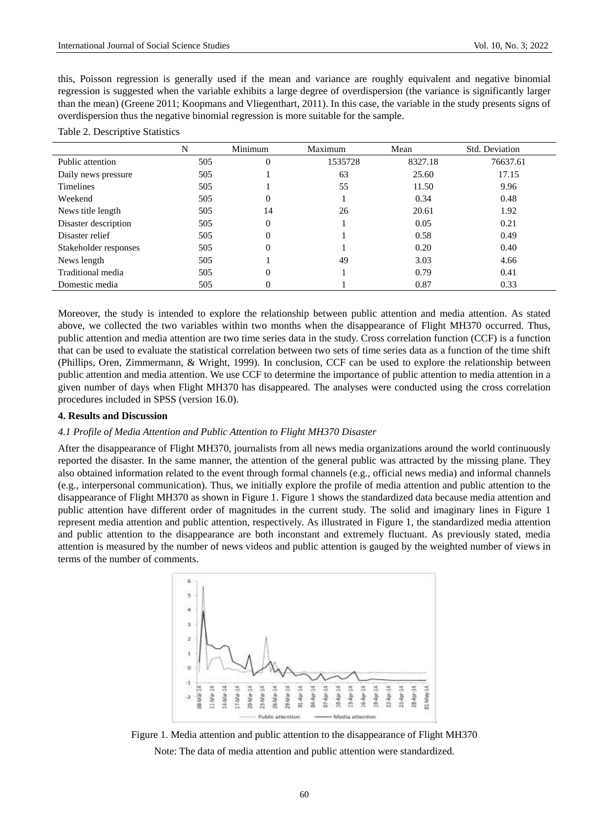this, Poisson regression is generally used if the mean and variance are roughly equivalent and negative binomial regression is suggested when the variable exhibits a large degree of overdispersion (the variance is significantly larger than the mean) (Greene 2011; Koopmans and Vliegenthart, 2011). In this case, the variable in the study presents signs of overdispersion thus the negative binomial regression is more suitable for the sample.

|  | Table 2. Descriptive Statistics |  |
|--|---------------------------------|--|
|--|---------------------------------|--|

|                       | N   | Minimum  | Maximum | Mean    | Std. Deviation |
|-----------------------|-----|----------|---------|---------|----------------|
| Public attention      | 505 | $\Omega$ | 1535728 | 8327.18 | 76637.61       |
| Daily news pressure   | 505 |          | 63      | 25.60   | 17.15          |
| <b>Timelines</b>      | 505 |          | 55      | 11.50   | 9.96           |
| Weekend               | 505 | $\theta$ |         | 0.34    | 0.48           |
| News title length     | 505 | 14       | 26      | 20.61   | 1.92           |
| Disaster description  | 505 | $\Omega$ |         | 0.05    | 0.21           |
| Disaster relief       | 505 | $\Omega$ |         | 0.58    | 0.49           |
| Stakeholder responses | 505 | $\Omega$ |         | 0.20    | 0.40           |
| News length           | 505 |          | 49      | 3.03    | 4.66           |
| Traditional media     | 505 | $\Omega$ |         | 0.79    | 0.41           |
| Domestic media        | 505 | $\theta$ |         | 0.87    | 0.33           |

Moreover, the study is intended to explore the relationship between public attention and media attention. As stated above, we collected the two variables within two months when the disappearance of Flight MH370 occurred. Thus, public attention and media attention are two time series data in the study. Cross correlation function (CCF) is a function that can be used to evaluate the statistical correlation between two sets of time series data as a function of the time shift (Phillips, Oren, Zimmermann, & Wright, 1999). In conclusion, CCF can be used to explore the relationship between public attention and media attention. We use CCF to determine the importance of public attention to media attention in a given number of days when Flight MH370 has disappeared. The analyses were conducted using the cross correlation procedures included in SPSS (version 16.0).

## **4. Results and Discussion**

#### *4.1 Profile of Media Attention and Public Attention to Flight MH370 Disaster*

After the disappearance of Flight MH370, journalists from all news media organizations around the world continuously reported the disaster. In the same manner, the attention of the general public was attracted by the missing plane. They also obtained information related to the event through formal channels (e.g., official news media) and informal channels (e.g., interpersonal communication). Thus, we initially explore the profile of media attention and public attention to the disappearance of Flight MH370 as shown in Figure 1. Figure 1 shows the standardized data because media attention and public attention have different order of magnitudes in the current study. The solid and imaginary lines in Figure 1 represent media attention and public attention, respectively. As illustrated in Figure 1, the standardized media attention and public attention to the disappearance are both inconstant and extremely fluctuant. As previously stated, media attention is measured by the number of news videos and public attention is gauged by the weighted number of views in terms of the number of comments.



Figure 1. Media attention and public attention to the disappearance of Flight MH370 Note: The data of media attention and public attention were standardized.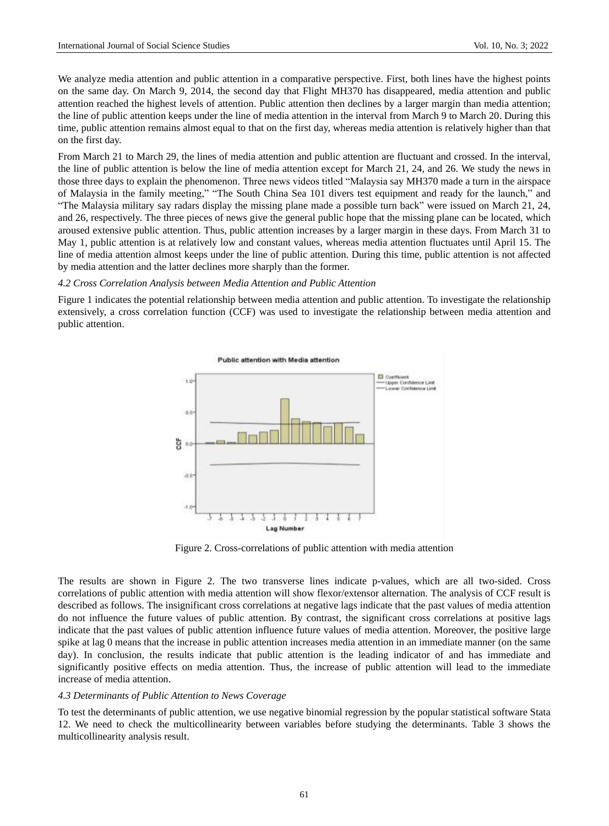We analyze media attention and public attention in a comparative perspective. First, both lines have the highest points on the same day. On March 9, 2014, the second day that Flight MH370 has disappeared, media attention and public attention reached the highest levels of attention. Public attention then declines by a larger margin than media attention; the line of public attention keeps under the line of media attention in the interval from March 9 to March 20. During this time, public attention remains almost equal to that on the first day, whereas media attention is relatively higher than that on the first day.

From March 21 to March 29, the lines of media attention and public attention are fluctuant and crossed. In the interval, the line of public attention is below the line of media attention except for March 21, 24, and 26. We study the news in those three days to explain the phenomenon. Three news videos titled "Malaysia say MH370 made a turn in the airspace of Malaysia in the family meeting," "The South China Sea 101 divers test equipment and ready for the launch," and "The Malaysia military say radars display the missing plane made a possible turn back" were issued on March 21, 24, and 26, respectively. The three pieces of news give the general public hope that the missing plane can be located, which aroused extensive public attention. Thus, public attention increases by a larger margin in these days. From March 31 to May 1, public attention is at relatively low and constant values, whereas media attention fluctuates until April 15. The line of media attention almost keeps under the line of public attention. During this time, public attention is not affected by media attention and the latter declines more sharply than the former.

#### *4.2 Cross Correlation Analysis between Media Attention and Public Attention*

Figure 1 indicates the potential relationship between media attention and public attention. To investigate the relationship extensively, a cross correlation function (CCF) was used to investigate the relationship between media attention and public attention.



Figure 2. Cross-correlations of public attention with media attention

The results are shown in Figure 2. The two transverse lines indicate p-values, which are all two-sided. Cross correlations of public attention with media attention will show flexor/extensor alternation. The analysis of CCF result is described as follows. The insignificant cross correlations at negative lags indicate that the past values of media attention do not influence the future values of public attention. By contrast, the significant cross correlations at positive lags indicate that the past values of public attention influence future values of media attention. Moreover, the positive large spike at lag 0 means that the increase in public attention increases media attention in an immediate manner (on the same day). In conclusion, the results indicate that public attention is the leading indicator of and has immediate and significantly positive effects on media attention. Thus, the increase of public attention will lead to the immediate increase of media attention.

#### *4.3 Determinants of Public Attention to News Coverage*

To test the determinants of public attention, we use negative binomial regression by the popular statistical software Stata 12. We need to check the multicollinearity between variables before studying the determinants. Table 3 shows the multicollinearity analysis result.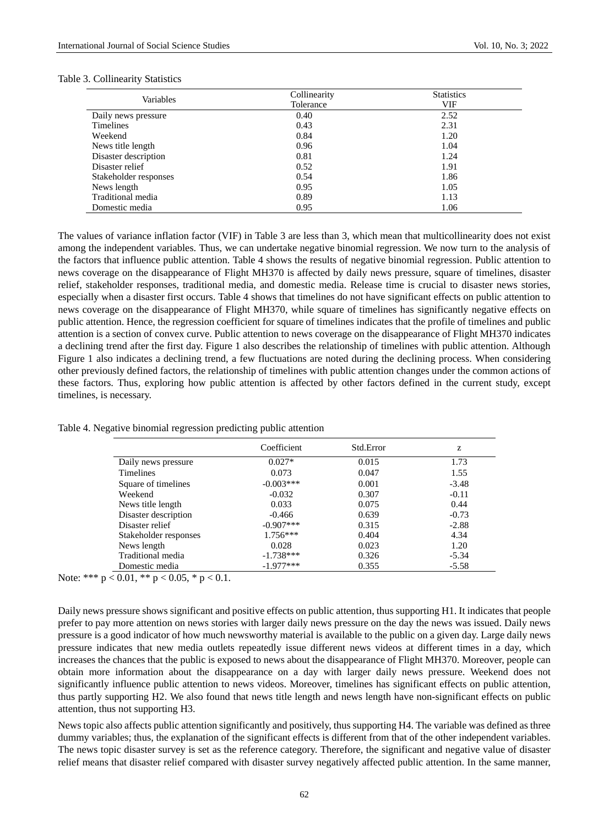| Variables             | Collinearity | <b>Statistics</b> |
|-----------------------|--------------|-------------------|
|                       | Tolerance    | VIF               |
| Daily news pressure   | 0.40         | 2.52              |
| <b>Timelines</b>      | 0.43         | 2.31              |
| Weekend               | 0.84         | 1.20              |
| News title length     | 0.96         | 1.04              |
| Disaster description  | 0.81         | 1.24              |
| Disaster relief       | 0.52         | 1.91              |
| Stakeholder responses | 0.54         | 1.86              |
| News length           | 0.95         | 1.05              |
| Traditional media     | 0.89         | 1.13              |
| Domestic media        | 0.95         | 1.06              |

#### Table 3. Collinearity Statistics

The values of variance inflation factor (VIF) in Table 3 are less than 3, which mean that multicollinearity does not exist among the independent variables. Thus, we can undertake negative binomial regression. We now turn to the analysis of the factors that influence public attention. Table 4 shows the results of negative binomial regression. Public attention to news coverage on the disappearance of Flight MH370 is affected by daily news pressure, square of timelines, disaster relief, stakeholder responses, traditional media, and domestic media. Release time is crucial to disaster news stories, especially when a disaster first occurs. Table 4 shows that timelines do not have significant effects on public attention to news coverage on the disappearance of Flight MH370, while square of timelines has significantly negative effects on public attention. Hence, the regression coefficient for square of timelines indicates that the profile of timelines and public attention is a section of convex curve. Public attention to news coverage on the disappearance of Flight MH370 indicates a declining trend after the first day. Figure 1 also describes the relationship of timelines with public attention. Although Figure 1 also indicates a declining trend, a few fluctuations are noted during the declining process. When considering other previously defined factors, the relationship of timelines with public attention changes under the common actions of these factors. Thus, exploring how public attention is affected by other factors defined in the current study, except timelines, is necessary.

|                       | Coefficient  | Std.Error | z       |
|-----------------------|--------------|-----------|---------|
| Daily news pressure   | $0.027*$     | 0.015     | 1.73    |
| <b>Timelines</b>      | 0.073        | 0.047     | 1.55    |
| Square of timelines   | $-0.003***$  | 0.001     | $-3.48$ |
| Weekend               | $-0.032$     | 0.307     | $-0.11$ |
| News title length     | 0.033        | 0.075     | 0.44    |
| Disaster description  | $-0.466$     | 0.639     | $-0.73$ |
| Disaster relief       | $-0.907$ *** | 0.315     | $-2.88$ |
| Stakeholder responses | $1.756***$   | 0.404     | 4.34    |
| News length           | 0.028        | 0.023     | 1.20    |
| Traditional media     | $-1.738***$  | 0.326     | $-5.34$ |
| Domestic media        | $-1.977***$  | 0.355     | $-5.58$ |

Table 4. Negative binomial regression predicting public attention

Note: \*\*\*  $p < 0.01$ , \*\*  $p < 0.05$ , \*  $p < 0.1$ .

Daily news pressure shows significant and positive effects on public attention, thus supporting H1. It indicates that people prefer to pay more attention on news stories with larger daily news pressure on the day the news was issued. Daily news pressure is a good indicator of how much newsworthy material is available to the public on a given day. Large daily news pressure indicates that new media outlets repeatedly issue different news videos at different times in a day, which increases the chances that the public is exposed to news about the disappearance of Flight MH370. Moreover, people can obtain more information about the disappearance on a day with larger daily news pressure. Weekend does not significantly influence public attention to news videos. Moreover, timelines has significant effects on public attention, thus partly supporting H2. We also found that news title length and news length have non-significant effects on public attention, thus not supporting H3.

News topic also affects public attention significantly and positively, thus supporting H4. The variable was defined as three dummy variables; thus, the explanation of the significant effects is different from that of the other independent variables. The news topic disaster survey is set as the reference category. Therefore, the significant and negative value of disaster relief means that disaster relief compared with disaster survey negatively affected public attention. In the same manner,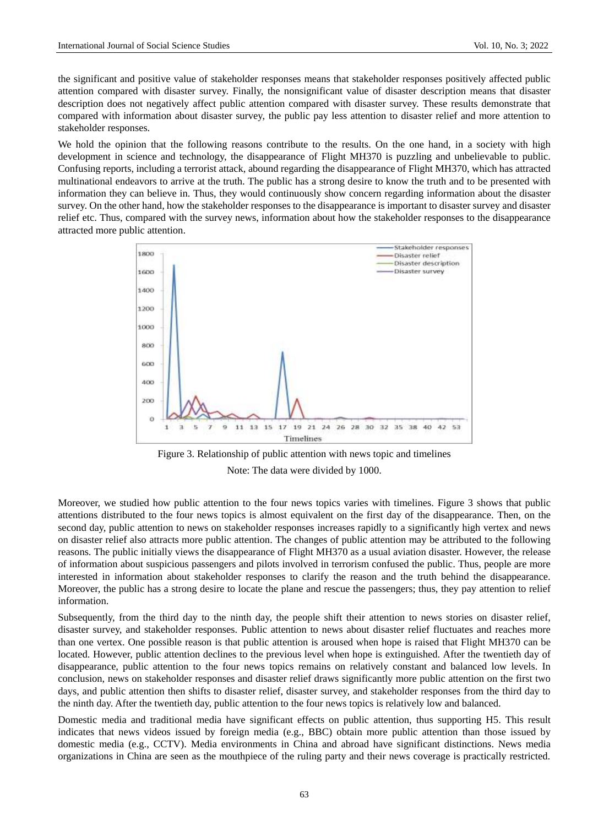the significant and positive value of stakeholder responses means that stakeholder responses positively affected public attention compared with disaster survey. Finally, the nonsignificant value of disaster description means that disaster description does not negatively affect public attention compared with disaster survey. These results demonstrate that compared with information about disaster survey, the public pay less attention to disaster relief and more attention to stakeholder responses.

We hold the opinion that the following reasons contribute to the results. On the one hand, in a society with high development in science and technology, the disappearance of Flight MH370 is puzzling and unbelievable to public. Confusing reports, including a terrorist attack, abound regarding the disappearance of Flight MH370, which has attracted multinational endeavors to arrive at the truth. The public has a strong desire to know the truth and to be presented with information they can believe in. Thus, they would continuously show concern regarding information about the disaster survey. On the other hand, how the stakeholder responses to the disappearance is important to disaster survey and disaster relief etc. Thus, compared with the survey news, information about how the stakeholder responses to the disappearance attracted more public attention.



Figure 3. Relationship of public attention with news topic and timelines Note: The data were divided by 1000.

Moreover, we studied how public attention to the four news topics varies with timelines. Figure 3 shows that public attentions distributed to the four news topics is almost equivalent on the first day of the disappearance. Then, on the second day, public attention to news on stakeholder responses increases rapidly to a significantly high vertex and news on disaster relief also attracts more public attention. The changes of public attention may be attributed to the following reasons. The public initially views the disappearance of Flight MH370 as a usual aviation disaster. However, the release of information about suspicious passengers and pilots involved in terrorism confused the public. Thus, people are more interested in information about stakeholder responses to clarify the reason and the truth behind the disappearance. Moreover, the public has a strong desire to locate the plane and rescue the passengers; thus, they pay attention to relief information.

Subsequently, from the third day to the ninth day, the people shift their attention to news stories on disaster relief, disaster survey, and stakeholder responses. Public attention to news about disaster relief fluctuates and reaches more than one vertex. One possible reason is that public attention is aroused when hope is raised that Flight MH370 can be located. However, public attention declines to the previous level when hope is extinguished. After the twentieth day of disappearance, public attention to the four news topics remains on relatively constant and balanced low levels. In conclusion, news on stakeholder responses and disaster relief draws significantly more public attention on the first two days, and public attention then shifts to disaster relief, disaster survey, and stakeholder responses from the third day to the ninth day. After the twentieth day, public attention to the four news topics is relatively low and balanced.

Domestic media and traditional media have significant effects on public attention, thus supporting H5. This result indicates that news videos issued by foreign media (e.g., BBC) obtain more public attention than those issued by domestic media (e.g., CCTV). Media environments in China and abroad have significant distinctions. News media organizations in China are seen as the mouthpiece of the ruling party and their news coverage is practically restricted.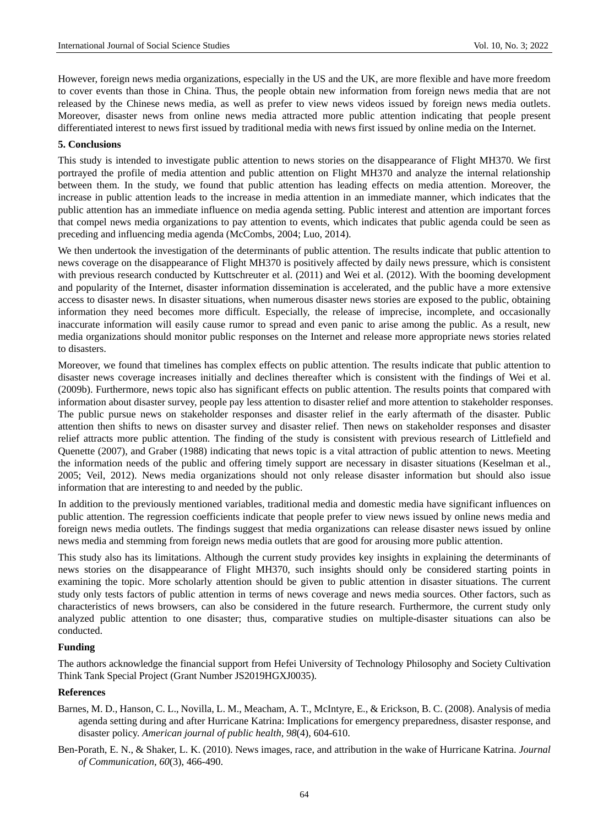However, foreign news media organizations, especially in the US and the UK, are more flexible and have more freedom to cover events than those in China. Thus, the people obtain new information from foreign news media that are not released by the Chinese news media, as well as prefer to view news videos issued by foreign news media outlets. Moreover, disaster news from online news media attracted more public attention indicating that people present differentiated interest to news first issued by traditional media with news first issued by online media on the Internet.

# **5. Conclusions**

This study is intended to investigate public attention to news stories on the disappearance of Flight MH370. We first portrayed the profile of media attention and public attention on Flight MH370 and analyze the internal relationship between them. In the study, we found that public attention has leading effects on media attention. Moreover, the increase in public attention leads to the increase in media attention in an immediate manner, which indicates that the public attention has an immediate influence on media agenda setting. Public interest and attention are important forces that compel news media organizations to pay attention to events, which indicates that public agenda could be seen as preceding and influencing media agenda (McCombs, 2004; Luo, 2014).

We then undertook the investigation of the determinants of public attention. The results indicate that public attention to news coverage on the disappearance of Flight MH370 is positively affected by daily news pressure, which is consistent with previous research conducted by Kuttschreuter et al. (2011) and Wei et al. (2012). With the booming development and popularity of the Internet, disaster information dissemination is accelerated, and the public have a more extensive access to disaster news. In disaster situations, when numerous disaster news stories are exposed to the public, obtaining information they need becomes more difficult. Especially, the release of imprecise, incomplete, and occasionally inaccurate information will easily cause rumor to spread and even panic to arise among the public. As a result, new media organizations should monitor public responses on the Internet and release more appropriate news stories related to disasters.

Moreover, we found that timelines has complex effects on public attention. The results indicate that public attention to disaster news coverage increases initially and declines thereafter which is consistent with the findings of Wei et al. (2009b). Furthermore, news topic also has significant effects on public attention. The results points that compared with information about disaster survey, people pay less attention to disaster relief and more attention to stakeholder responses. The public pursue news on stakeholder responses and disaster relief in the early aftermath of the disaster. Public attention then shifts to news on disaster survey and disaster relief. Then news on stakeholder responses and disaster relief attracts more public attention. The finding of the study is consistent with previous research of Littlefield and Quenette (2007), and Graber (1988) indicating that news topic is a vital attraction of public attention to news. Meeting the information needs of the public and offering timely support are necessary in disaster situations (Keselman et al., 2005; Veil, 2012). News media organizations should not only release disaster information but should also issue information that are interesting to and needed by the public.

In addition to the previously mentioned variables, traditional media and domestic media have significant influences on public attention. The regression coefficients indicate that people prefer to view news issued by online news media and foreign news media outlets. The findings suggest that media organizations can release disaster news issued by online news media and stemming from foreign news media outlets that are good for arousing more public attention.

This study also has its limitations. Although the current study provides key insights in explaining the determinants of news stories on the disappearance of Flight MH370, such insights should only be considered starting points in examining the topic. More scholarly attention should be given to public attention in disaster situations. The current study only tests factors of public attention in terms of news coverage and news media sources. Other factors, such as characteristics of news browsers, can also be considered in the future research. Furthermore, the current study only analyzed public attention to one disaster; thus, comparative studies on multiple-disaster situations can also be conducted.

## **Funding**

The authors acknowledge the financial support from Hefei University of Technology Philosophy and Society Cultivation Think Tank Special Project (Grant Number JS2019HGXJ0035).

#### **References**

- Barnes, M. D., Hanson, C. L., Novilla, L. M., Meacham, A. T., McIntyre, E., & Erickson, B. C. (2008). Analysis of media agenda setting during and after Hurricane Katrina: Implications for emergency preparedness, disaster response, and disaster policy. *American journal of public health, 98*(4), 604-610.
- Ben-Porath, E. N., & Shaker, L. K. (2010). News images, race, and attribution in the wake of Hurricane Katrina. *Journal of Communication, 60*(3), 466-490.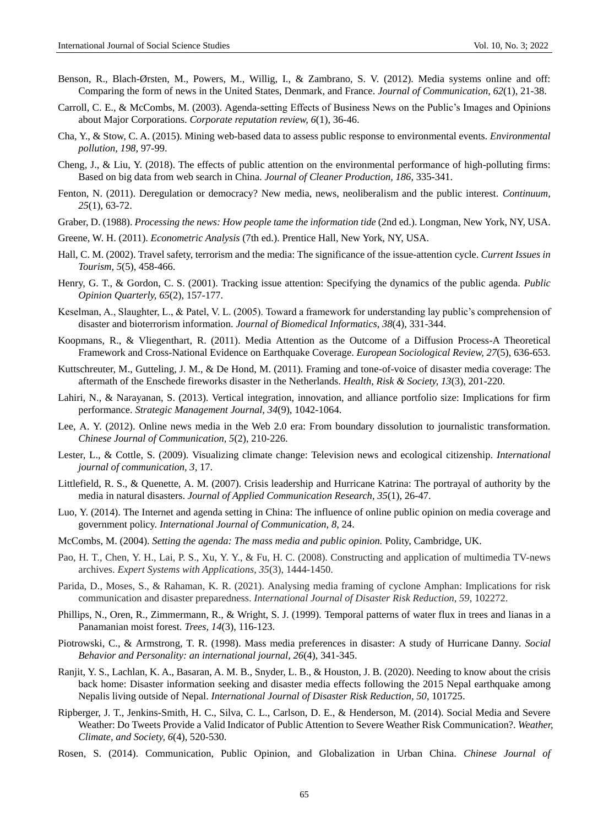- Benson, R., Blach-Ørsten, M., Powers, M., Willig, I., & Zambrano, S. V. (2012). Media systems online and off: Comparing the form of news in the United States, Denmark, and France. *Journal of Communication, 62*(1), 21-38.
- Carroll, C. E., & McCombs, M. (2003). Agenda-setting Effects of Business News on the Public's Images and Opinions about Major Corporations. *Corporate reputation review, 6*(1), 36-46.
- Cha, Y., & Stow, C. A. (2015). Mining web-based data to assess public response to environmental events. *Environmental pollution, 198*, 97-99.
- Cheng, J., & Liu, Y. (2018). The effects of public attention on the environmental performance of high-polluting firms: Based on big data from web search in China. *Journal of Cleaner Production, 186*, 335-341.
- Fenton, N. (2011). Deregulation or democracy? New media, news, neoliberalism and the public interest. *Continuum, 25*(1), 63-72.
- Graber, D. (1988). *Processing the news: How people tame the information tide* (2nd ed.). Longman, New York, NY, USA.
- Greene, W. H. (2011). *Econometric Analysis* (7th ed.). Prentice Hall, New York, NY, USA.
- Hall, C. M. (2002). Travel safety, terrorism and the media: The significance of the issue-attention cycle. *Current Issues in Tourism, 5*(5), 458-466.
- Henry, G. T., & Gordon, C. S. (2001). Tracking issue attention: Specifying the dynamics of the public agenda. *Public Opinion Quarterly, 65*(2), 157-177.
- Keselman, A., Slaughter, L., & Patel, V. L. (2005). Toward a framework for understanding lay public's comprehension of disaster and bioterrorism information. *Journal of Biomedical Informatics, 38*(4), 331-344.
- Koopmans, R., & Vliegenthart, R. (2011). Media Attention as the Outcome of a Diffusion Process-A Theoretical Framework and Cross-National Evidence on Earthquake Coverage. *European Sociological Review, 27*(5), 636-653.
- Kuttschreuter, M., Gutteling, J. M., & De Hond, M. (2011). Framing and tone-of-voice of disaster media coverage: The aftermath of the Enschede fireworks disaster in the Netherlands. *Health, Risk & Society, 13*(3), 201-220.
- Lahiri, N., & Narayanan, S. (2013). Vertical integration, innovation, and alliance portfolio size: Implications for firm performance. *Strategic Management Journal, 34*(9), 1042-1064.
- Lee, A. Y. (2012). Online news media in the Web 2.0 era: From boundary dissolution to journalistic transformation. *Chinese Journal of Communication, 5*(2), 210-226.
- Lester, L., & Cottle, S. (2009). Visualizing climate change: Television news and ecological citizenship. *International journal of communication, 3*, 17.
- Littlefield, R. S., & Quenette, A. M. (2007). Crisis leadership and Hurricane Katrina: The portrayal of authority by the media in natural disasters. *Journal of Applied Communication Research, 35*(1), 26-47.
- Luo, Y. (2014). The Internet and agenda setting in China: The influence of online public opinion on media coverage and government policy. *International Journal of Communication, 8*, 24.
- McCombs, M. (2004). *Setting the agenda: The mass media and public opinion.* Polity, Cambridge, UK.
- Pao, H. T., Chen, Y. H., Lai, P. S., Xu, Y. Y., & Fu, H. C. (2008). Constructing and application of multimedia TV-news archives. *Expert Systems with Applications, 35*(3), 1444-1450.
- Parida, D., Moses, S., & Rahaman, K. R. (2021). Analysing media framing of cyclone Amphan: Implications for risk communication and disaster preparedness. *International Journal of Disaster Risk Reduction, 59*, 102272.
- Phillips, N., Oren, R., Zimmermann, R., & Wright, S. J. (1999). Temporal patterns of water flux in trees and lianas in a Panamanian moist forest. *Trees, 14*(3), 116-123.
- Piotrowski, C., & Armstrong, T. R. (1998). Mass media preferences in disaster: A study of Hurricane Danny. *Social Behavior and Personality: an international journal, 26*(4), 341-345.
- Ranjit, Y. S., Lachlan, K. A., Basaran, A. M. B., Snyder, L. B., & Houston, J. B. (2020). Needing to know about the crisis back home: Disaster information seeking and disaster media effects following the 2015 Nepal earthquake among Nepalis living outside of Nepal. *International Journal of Disaster Risk Reduction, 50*, 101725.
- Ripberger, J. T., Jenkins-Smith, H. C., Silva, C. L., Carlson, D. E., & Henderson, M. (2014). Social Media and Severe Weather: Do Tweets Provide a Valid Indicator of Public Attention to Severe Weather Risk Communication?. *Weather, Climate, and Society, 6*(4), 520-530.
- Rosen, S. (2014). Communication, Public Opinion, and Globalization in Urban China. *Chinese Journal of*